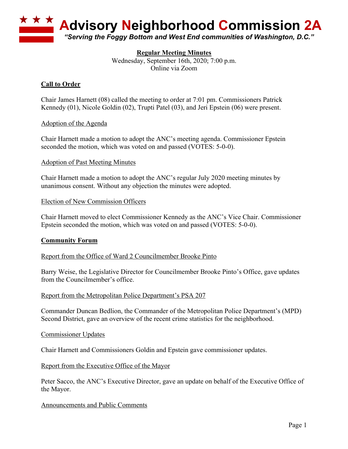

## **Regular Meeting Minutes**

Wednesday, September 16th, 2020; 7:00 p.m. Online via Zoom

## **Call to Order**

Chair James Harnett (08) called the meeting to order at 7:01 pm. Commissioners Patrick Kennedy (01), Nicole Goldin (02), Trupti Patel (03), and Jeri Epstein (06) were present.

### Adoption of the Agenda

Chair Harnett made a motion to adopt the ANC's meeting agenda. Commissioner Epstein seconded the motion, which was voted on and passed (VOTES: 5-0-0).

#### Adoption of Past Meeting Minutes

Chair Harnett made a motion to adopt the ANC's regular July 2020 meeting minutes by unanimous consent. Without any objection the minutes were adopted.

#### Election of New Commission Officers

Chair Harnett moved to elect Commissioner Kennedy as the ANC's Vice Chair. Commissioner Epstein seconded the motion, which was voted on and passed (VOTES: 5-0-0).

### **Community Forum**

Report from the Office of Ward 2 Councilmember Brooke Pinto

Barry Weise, the Legislative Director for Councilmember Brooke Pinto's Office, gave updates from the Councilmember's office.

#### Report from the Metropolitan Police Department's PSA 207

Commander Duncan Bedlion, the Commander of the Metropolitan Police Department's (MPD) Second District, gave an overview of the recent crime statistics for the neighborhood.

#### Commissioner Updates

Chair Harnett and Commissioners Goldin and Epstein gave commissioner updates.

Report from the Executive Office of the Mayor

Peter Sacco, the ANC's Executive Director, gave an update on behalf of the Executive Office of the Mayor.

Announcements and Public Comments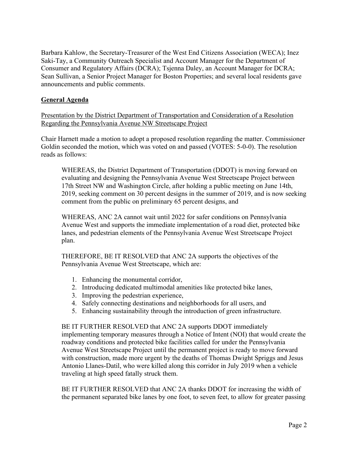Barbara Kahlow, the Secretary-Treasurer of the West End Citizens Association (WECA); Inez Saki-Tay, a Community Outreach Specialist and Account Manager for the Department of Consumer and Regulatory Affairs (DCRA); Tsjenna Daley, an Account Manager for DCRA; Sean Sullivan, a Senior Project Manager for Boston Properties; and several local residents gave announcements and public comments.

## **General Agenda**

Presentation by the District Department of Transportation and Consideration of a Resolution Regarding the Pennsylvania Avenue NW Streetscape Project

Chair Harnett made a motion to adopt a proposed resolution regarding the matter. Commissioner Goldin seconded the motion, which was voted on and passed (VOTES: 5-0-0). The resolution reads as follows:

WHEREAS, the District Department of Transportation (DDOT) is moving forward on evaluating and designing the Pennsylvania Avenue West Streetscape Project between 17th Street NW and Washington Circle, after holding a public meeting on June 14th, 2019, seeking comment on 30 percent designs in the summer of 2019, and is now seeking comment from the public on preliminary 65 percent designs, and

WHEREAS, ANC 2A cannot wait until 2022 for safer conditions on Pennsylvania Avenue West and supports the immediate implementation of a road diet, protected bike lanes, and pedestrian elements of the Pennsylvania Avenue West Streetscape Project plan.

THEREFORE, BE IT RESOLVED that ANC 2A supports the objectives of the Pennsylvania Avenue West Streetscape, which are:

- 1. Enhancing the monumental corridor,
- 2. Introducing dedicated multimodal amenities like protected bike lanes,
- 3. Improving the pedestrian experience,
- 4. Safely connecting destinations and neighborhoods for all users, and
- 5. Enhancing sustainability through the introduction of green infrastructure.

BE IT FURTHER RESOLVED that ANC 2A supports DDOT immediately implementing temporary measures through a Notice of Intent (NOI) that would create the roadway conditions and protected bike facilities called for under the Pennsylvania Avenue West Streetscape Project until the permanent project is ready to move forward with construction, made more urgent by the deaths of Thomas Dwight Spriggs and Jesus Antonio Llanes-Datil, who were killed along this corridor in July 2019 when a vehicle traveling at high speed fatally struck them.

BE IT FURTHER RESOLVED that ANC 2A thanks DDOT for increasing the width of the permanent separated bike lanes by one foot, to seven feet, to allow for greater passing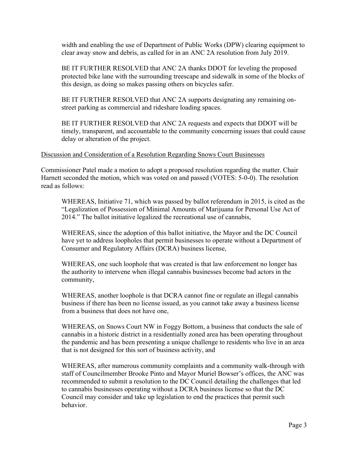width and enabling the use of Department of Public Works (DPW) clearing equipment to clear away snow and debris, as called for in an ANC 2A resolution from July 2019.

BE IT FURTHER RESOLVED that ANC 2A thanks DDOT for leveling the proposed protected bike lane with the surrounding treescape and sidewalk in some of the blocks of this design, as doing so makes passing others on bicycles safer.

BE IT FURTHER RESOLVED that ANC 2A supports designating any remaining onstreet parking as commercial and rideshare loading spaces.

BE IT FURTHER RESOLVED that ANC 2A requests and expects that DDOT will be timely, transparent, and accountable to the community concerning issues that could cause delay or alteration of the project.

### Discussion and Consideration of a Resolution Regarding Snows Court Businesses

Commissioner Patel made a motion to adopt a proposed resolution regarding the matter. Chair Harnett seconded the motion, which was voted on and passed (VOTES: 5-0-0). The resolution read as follows:

WHEREAS, Initiative 71, which was passed by ballot referendum in 2015, is cited as the "Legalization of Possession of Minimal Amounts of Marijuana for Personal Use Act of 2014." The ballot initiative legalized the recreational use of cannabis,

WHEREAS, since the adoption of this ballot initiative, the Mayor and the DC Council have yet to address loopholes that permit businesses to operate without a Department of Consumer and Regulatory Affairs (DCRA) business license,

WHEREAS, one such loophole that was created is that law enforcement no longer has the authority to intervene when illegal cannabis businesses become bad actors in the community,

WHEREAS, another loophole is that DCRA cannot fine or regulate an illegal cannabis business if there has been no license issued, as you cannot take away a business license from a business that does not have one,

WHEREAS, on Snows Court NW in Foggy Bottom, a business that conducts the sale of cannabis in a historic district in a residentially zoned area has been operating throughout the pandemic and has been presenting a unique challenge to residents who live in an area that is not designed for this sort of business activity, and

WHEREAS, after numerous community complaints and a community walk-through with staff of Councilmember Brooke Pinto and Mayor Muriel Bowser's offices, the ANC was recommended to submit a resolution to the DC Council detailing the challenges that led to cannabis businesses operating without a DCRA business license so that the DC Council may consider and take up legislation to end the practices that permit such behavior.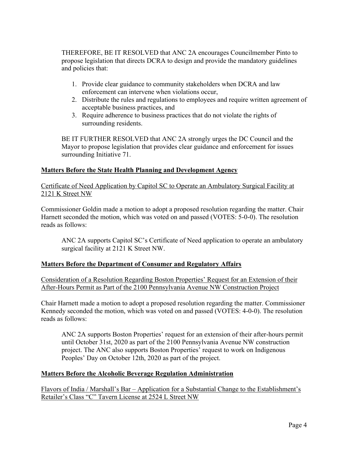THEREFORE, BE IT RESOLVED that ANC 2A encourages Councilmember Pinto to propose legislation that directs DCRA to design and provide the mandatory guidelines and policies that:

- 1. Provide clear guidance to community stakeholders when DCRA and law enforcement can intervene when violations occur,
- 2. Distribute the rules and regulations to employees and require written agreement of acceptable business practices, and
- 3. Require adherence to business practices that do not violate the rights of surrounding residents.

BE IT FURTHER RESOLVED that ANC 2A strongly urges the DC Council and the Mayor to propose legislation that provides clear guidance and enforcement for issues surrounding Initiative 71.

# **Matters Before the State Health Planning and Development Agency**

Certificate of Need Application by Capitol SC to Operate an Ambulatory Surgical Facility at 2121 K Street NW

Commissioner Goldin made a motion to adopt a proposed resolution regarding the matter. Chair Harnett seconded the motion, which was voted on and passed (VOTES: 5-0-0). The resolution reads as follows:

ANC 2A supports Capitol SC's Certificate of Need application to operate an ambulatory surgical facility at 2121 K Street NW.

# **Matters Before the Department of Consumer and Regulatory Affairs**

Consideration of a Resolution Regarding Boston Properties' Request for an Extension of their After-Hours Permit as Part of the 2100 Pennsylvania Avenue NW Construction Project

Chair Harnett made a motion to adopt a proposed resolution regarding the matter. Commissioner Kennedy seconded the motion, which was voted on and passed (VOTES: 4-0-0). The resolution reads as follows:

ANC 2A supports Boston Properties' request for an extension of their after-hours permit until October 31st, 2020 as part of the 2100 Pennsylvania Avenue NW construction project. The ANC also supports Boston Properties' request to work on Indigenous Peoples' Day on October 12th, 2020 as part of the project.

## **Matters Before the Alcoholic Beverage Regulation Administration**

Flavors of India / Marshall's Bar – Application for a Substantial Change to the Establishment's Retailer's Class "C" Tavern License at 2524 L Street NW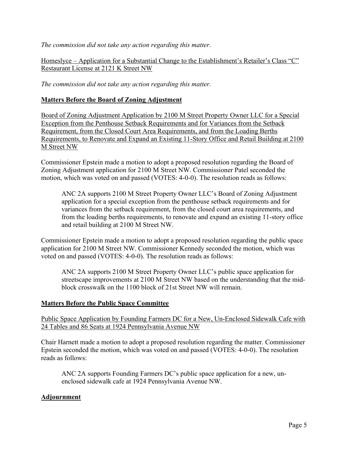*The commission did not take any action regarding this matter.*

Homeslyce – Application for a Substantial Change to the Establishment's Retailer's Class "C" Restaurant License at 2121 K Street NW

*The commission did not take any action regarding this matter.*

## **Matters Before the Board of Zoning Adjustment**

Board of Zoning Adjustment Application by 2100 M Street Property Owner LLC for a Special Exception from the Penthouse Setback Requirements and for Variances from the Setback Requirement, from the Closed Court Area Requirements, and from the Loading Berths Requirements, to Renovate and Expand an Existing 11-Story Office and Retail Building at 2100 M Street NW

Commissioner Epstein made a motion to adopt a proposed resolution regarding the Board of Zoning Adjustment application for 2100 M Street NW. Commissioner Patel seconded the motion, which was voted on and passed (VOTES: 4-0-0). The resolution reads as follows:

ANC 2A supports 2100 M Street Property Owner LLC's Board of Zoning Adjustment application for a special exception from the penthouse setback requirements and for variances from the setback requirement, from the closed court area requirements, and from the loading berths requirements, to renovate and expand an existing 11-story office and retail building at 2100 M Street NW.

Commissioner Epstein made a motion to adopt a proposed resolution regarding the public space application for 2100 M Street NW. Commissioner Kennedy seconded the motion, which was voted on and passed (VOTES: 4-0-0). The resolution reads as follows:

ANC 2A supports 2100 M Street Property Owner LLC's public space application for streetscape improvements at 2100 M Street NW based on the understanding that the midblock crosswalk on the 1100 block of 21st Street NW will remain.

### **Matters Before the Public Space Committee**

Public Space Application by Founding Farmers DC for a New, Un-Enclosed Sidewalk Cafe with 24 Tables and 86 Seats at 1924 Pennsylvania Avenue NW

Chair Harnett made a motion to adopt a proposed resolution regarding the matter. Commissioner Epstein seconded the motion, which was voted on and passed (VOTES: 4-0-0). The resolution reads as follows:

ANC 2A supports Founding Farmers DC's public space application for a new, unenclosed sidewalk cafe at 1924 Pennsylvania Avenue NW.

## **Adjournment**